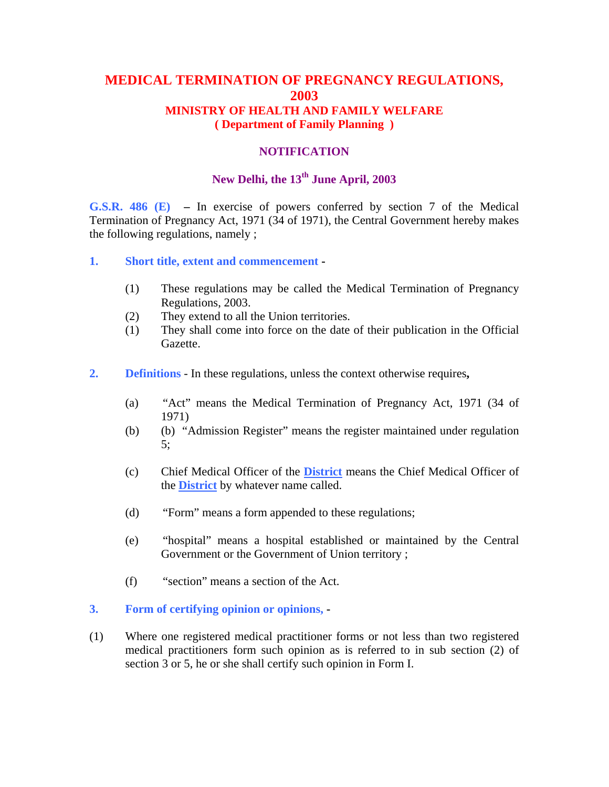## **MEDICAL TERMINATION OF PREGNANCY REGULATIONS, 2003 MINISTRY OF HEALTH AND FAMILY WELFARE ( Department of Family Planning )**

### **NOTIFICATION**

## **New Delhi, the 13th June April, 2003**

**G.S.R. 486 (E) –** In exercise of powers conferred by section 7 of the Medical Termination of Pregnancy Act, 1971 (34 of 1971), the Central Government hereby makes the following regulations, namely ;

- **1. Short title, extent and commencement** 
	- (1) These regulations may be called the Medical Termination of Pregnancy Regulations, 2003.
	- (2) They extend to all the Union territories.
	- (1) They shall come into force on the date of their publication in the Official Gazette.
- **2. Definitions** In these regulations, unless the context otherwise requires**,** 
	- (a) "Act" means the Medical Termination of Pregnancy Act, 1971 (34 of 1971)
	- (b) (b) "Admission Register" means the register maintained under regulation 5;
	- (c) Chief Medical Officer of the **District** means the Chief Medical Officer of the **District** by whatever name called.
	- (d) "Form" means a form appended to these regulations;
	- (e) "hospital" means a hospital established or maintained by the Central Government or the Government of Union territory ;
	- (f) "section" means a section of the Act.
- **3. Form of certifying opinion or opinions,**
- (1) Where one registered medical practitioner forms or not less than two registered medical practitioners form such opinion as is referred to in sub section (2) of section 3 or 5, he or she shall certify such opinion in Form I.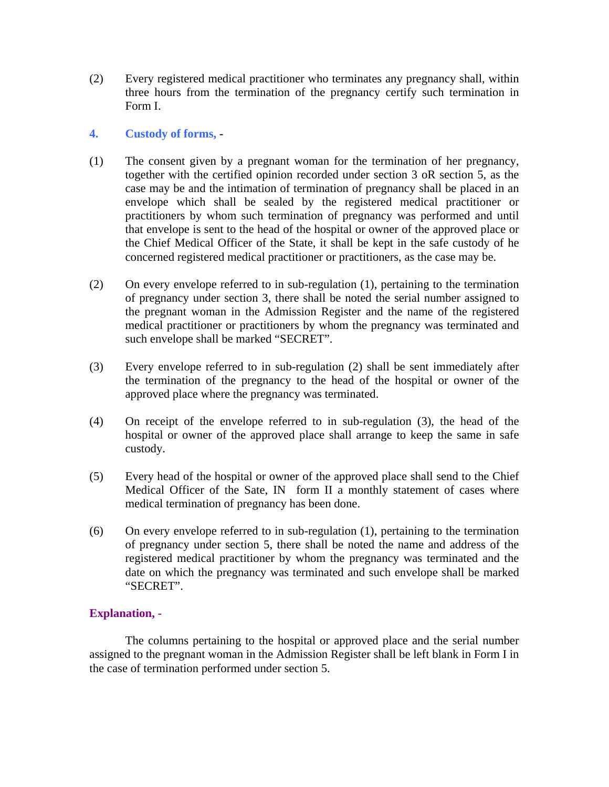(2) Every registered medical practitioner who terminates any pregnancy shall, within three hours from the termination of the pregnancy certify such termination in Form I.

#### **4. Custody of forms, -**

- (1) The consent given by a pregnant woman for the termination of her pregnancy, together with the certified opinion recorded under section 3 oR section 5, as the case may be and the intimation of termination of pregnancy shall be placed in an envelope which shall be sealed by the registered medical practitioner or practitioners by whom such termination of pregnancy was performed and until that envelope is sent to the head of the hospital or owner of the approved place or the Chief Medical Officer of the State, it shall be kept in the safe custody of he concerned registered medical practitioner or practitioners, as the case may be.
- (2) On every envelope referred to in sub-regulation (1), pertaining to the termination of pregnancy under section 3, there shall be noted the serial number assigned to the pregnant woman in the Admission Register and the name of the registered medical practitioner or practitioners by whom the pregnancy was terminated and such envelope shall be marked "SECRET".
- (3) Every envelope referred to in sub-regulation (2) shall be sent immediately after the termination of the pregnancy to the head of the hospital or owner of the approved place where the pregnancy was terminated.
- (4) On receipt of the envelope referred to in sub-regulation (3), the head of the hospital or owner of the approved place shall arrange to keep the same in safe custody.
- (5) Every head of the hospital or owner of the approved place shall send to the Chief Medical Officer of the Sate, IN form II a monthly statement of cases where medical termination of pregnancy has been done.
- (6) On every envelope referred to in sub-regulation (1), pertaining to the termination of pregnancy under section 5, there shall be noted the name and address of the registered medical practitioner by whom the pregnancy was terminated and the date on which the pregnancy was terminated and such envelope shall be marked "SECRET".

## **Explanation, -**

The columns pertaining to the hospital or approved place and the serial number assigned to the pregnant woman in the Admission Register shall be left blank in Form I in the case of termination performed under section 5.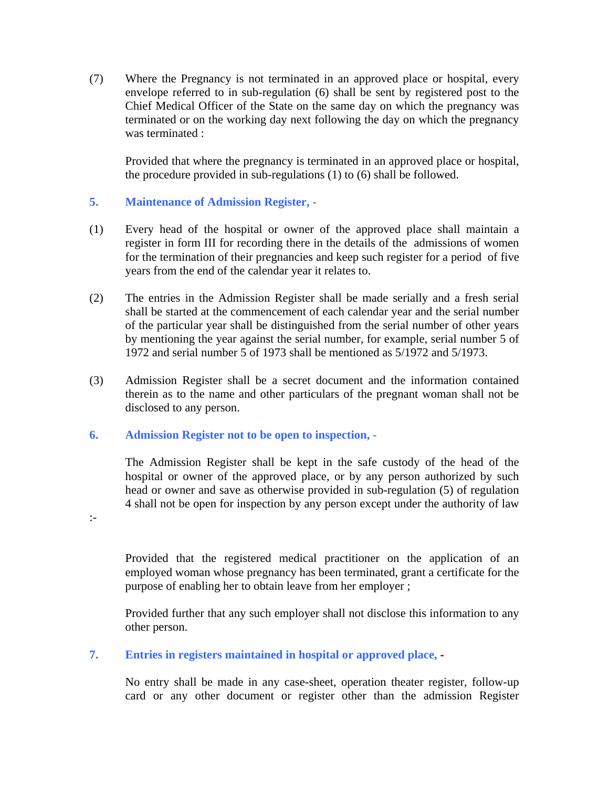(7) Where the Pregnancy is not terminated in an approved place or hospital, every envelope referred to in sub-regulation (6) shall be sent by registered post to the Chief Medical Officer of the State on the same day on which the pregnancy was terminated or on the working day next following the day on which the pregnancy was terminated :

Provided that where the pregnancy is terminated in an approved place or hospital, the procedure provided in sub-regulations (1) to (6) shall be followed.

### **5. Maintenance of Admission Register, -**

- (1) Every head of the hospital or owner of the approved place shall maintain a register in form III for recording there in the details of the admissions of women for the termination of their pregnancies and keep such register for a period of five years from the end of the calendar year it relates to.
- (2) The entries in the Admission Register shall be made serially and a fresh serial shall be started at the commencement of each calendar year and the serial number of the particular year shall be distinguished from the serial number of other years by mentioning the year against the serial number, for example, serial number 5 of 1972 and serial number 5 of 1973 shall be mentioned as 5/1972 and 5/1973.
- (3) Admission Register shall be a secret document and the information contained therein as to the name and other particulars of the pregnant woman shall not be disclosed to any person.

#### **6. Admission Register not to be open to inspection, -**

The Admission Register shall be kept in the safe custody of the head of the hospital or owner of the approved place, or by any person authorized by such head or owner and save as otherwise provided in sub-regulation (5) of regulation 4 shall not be open for inspection by any person except under the authority of law

:-

Provided that the registered medical practitioner on the application of an employed woman whose pregnancy has been terminated, grant a certificate for the purpose of enabling her to obtain leave from her employer ;

Provided further that any such employer shall not disclose this information to any other person.

## **7. Entries in registers maintained in hospital or approved place, -**

No entry shall be made in any case-sheet, operation theater register, follow-up card or any other document or register other than the admission Register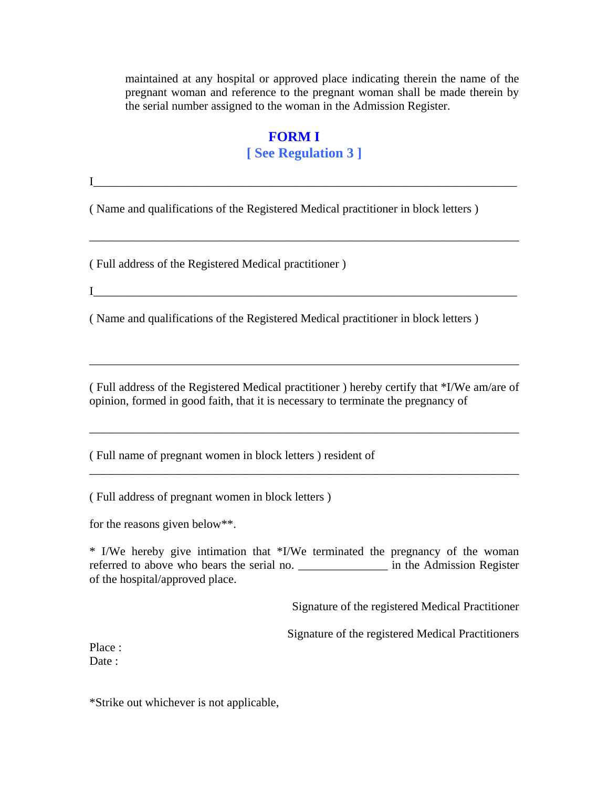maintained at any hospital or approved place indicating therein the name of the pregnant woman and reference to the pregnant woman shall be made therein by the serial number assigned to the woman in the Admission Register.

# **FORM I**

 $I$  , and the contract of the contract of the contract of the contract of the contract of the contract of the contract of the contract of the contract of the contract of the contract of the contract of the contract of the

# **[ See Regulation 3 ]**

( Name and qualifications of the Registered Medical practitioner in block letters )

\_\_\_\_\_\_\_\_\_\_\_\_\_\_\_\_\_\_\_\_\_\_\_\_\_\_\_\_\_\_\_\_\_\_\_\_\_\_\_\_\_\_\_\_\_\_\_\_\_\_\_\_\_\_\_\_\_\_\_\_\_\_\_\_\_\_\_\_\_\_\_\_

( Full address of the Registered Medical practitioner )

 $I$ 

( Name and qualifications of the Registered Medical practitioner in block letters )

( Full address of the Registered Medical practitioner ) hereby certify that \*I/We am/are of opinion, formed in good faith, that it is necessary to terminate the pregnancy of

\_\_\_\_\_\_\_\_\_\_\_\_\_\_\_\_\_\_\_\_\_\_\_\_\_\_\_\_\_\_\_\_\_\_\_\_\_\_\_\_\_\_\_\_\_\_\_\_\_\_\_\_\_\_\_\_\_\_\_\_\_\_\_\_\_\_\_\_\_\_\_\_

\_\_\_\_\_\_\_\_\_\_\_\_\_\_\_\_\_\_\_\_\_\_\_\_\_\_\_\_\_\_\_\_\_\_\_\_\_\_\_\_\_\_\_\_\_\_\_\_\_\_\_\_\_\_\_\_\_\_\_\_\_\_\_\_\_\_\_\_\_\_\_\_

\_\_\_\_\_\_\_\_\_\_\_\_\_\_\_\_\_\_\_\_\_\_\_\_\_\_\_\_\_\_\_\_\_\_\_\_\_\_\_\_\_\_\_\_\_\_\_\_\_\_\_\_\_\_\_\_\_\_\_\_\_\_\_\_\_\_\_\_\_\_\_\_

( Full name of pregnant women in block letters ) resident of

( Full address of pregnant women in block letters )

for the reasons given below\*\*.

\* I/We hereby give intimation that \*I/We terminated the pregnancy of the woman referred to above who bears the serial no. \_\_\_\_\_\_\_\_\_\_\_\_\_\_\_ in the Admission Register of the hospital/approved place.

Signature of the registered Medical Practitioner

Signature of the registered Medical Practitioners

Place : Date:

\*Strike out whichever is not applicable,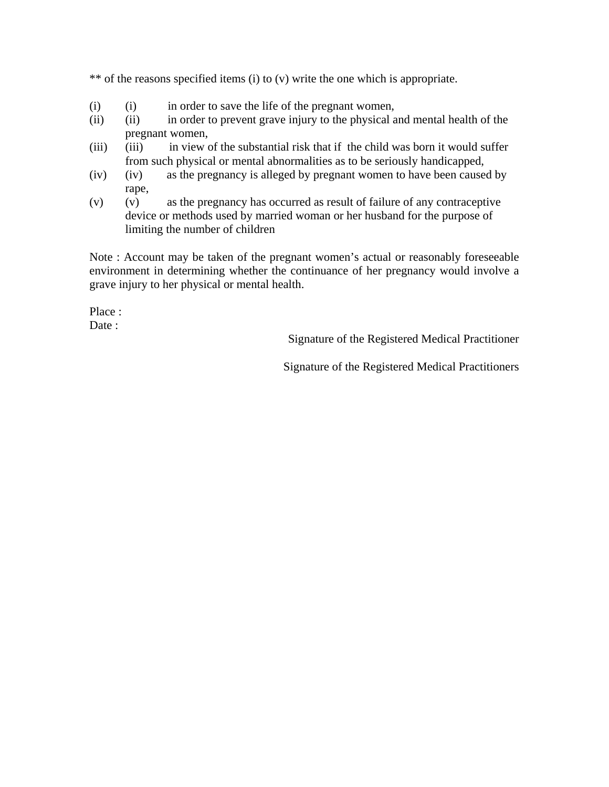\*\* of the reasons specified items (i) to (v) write the one which is appropriate.

- (i) (i) in order to save the life of the pregnant women,
- (ii) (ii) in order to prevent grave injury to the physical and mental health of the pregnant women,
- (iii) (iii) in view of the substantial risk that if the child was born it would suffer from such physical or mental abnormalities as to be seriously handicapped,
- (iv) (iv) as the pregnancy is alleged by pregnant women to have been caused by rape,
- (v) (v) as the pregnancy has occurred as result of failure of any contraceptive device or methods used by married woman or her husband for the purpose of limiting the number of children

Note : Account may be taken of the pregnant women's actual or reasonably foreseeable environment in determining whether the continuance of her pregnancy would involve a grave injury to her physical or mental health.

Place : Date :

Signature of the Registered Medical Practitioner

Signature of the Registered Medical Practitioners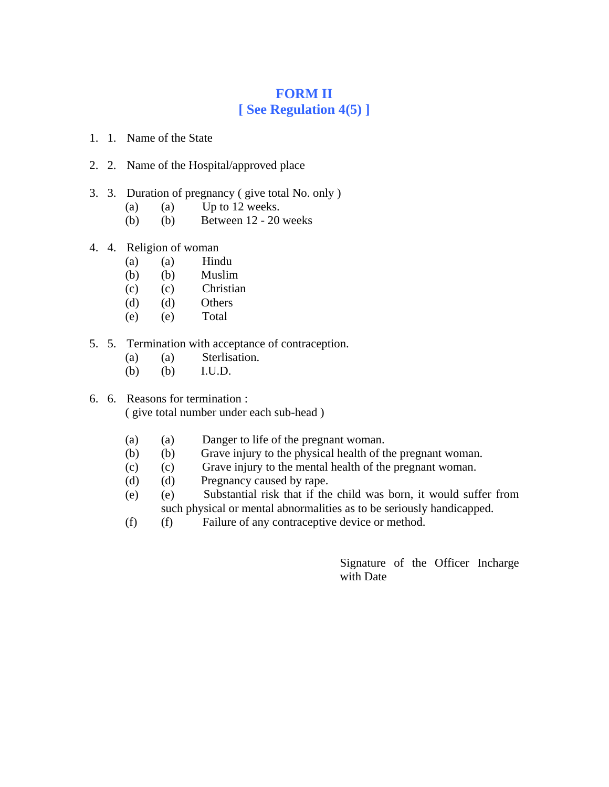# **FORM II [ See Regulation 4(5) ]**

- 1. 1. Name of the State
- 2. 2. Name of the Hospital/approved place
- 3. 3. Duration of pregnancy ( give total No. only )
	- (a) (a) Up to  $12$  weeks.
	- (b) (b) Between 12 20 weeks
- 4. 4. Religion of woman
	- (a) (a) Hindu
	- (b) (b) Muslim
	- (c) (c) Christian
	- (d) (d) Others
	- (e) (e) Total
- 5. 5. Termination with acceptance of contraception.
	- (a) (a) Sterlisation.
	- (b) (b) I.U.D.
- 6. 6. Reasons for termination : ( give total number under each sub-head )
	- (a) (a) Danger to life of the pregnant woman.
	- (b) (b) Grave injury to the physical health of the pregnant woman.
	- (c) (c) Grave injury to the mental health of the pregnant woman.
	- (d) (d) Pregnancy caused by rape.
	- (e) (e) Substantial risk that if the child was born, it would suffer from such physical or mental abnormalities as to be seriously handicapped.
	- (f) (f) Failure of any contraceptive device or method.

Signature of the Officer Incharge with Date